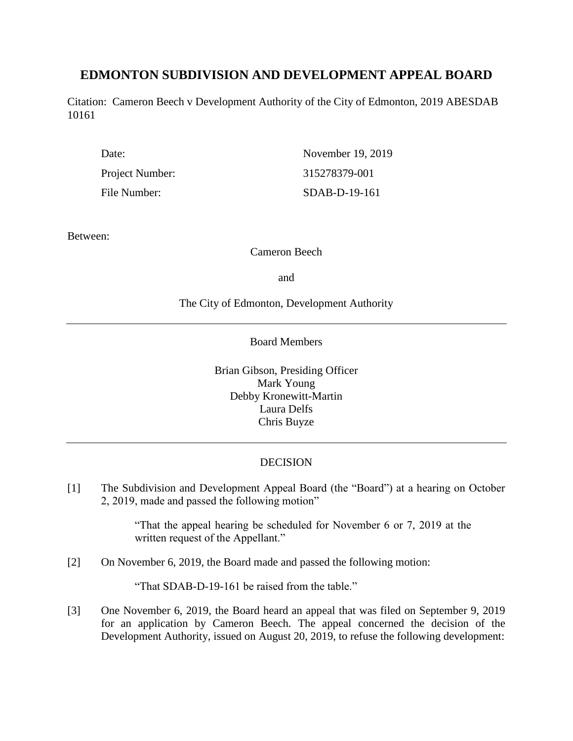# **EDMONTON SUBDIVISION AND DEVELOPMENT APPEAL BOARD**

Citation: Cameron Beech v Development Authority of the City of Edmonton, 2019 ABESDAB 10161

| Date:           | November 19, 2019 |
|-----------------|-------------------|
| Project Number: | 315278379-001     |
| File Number:    | SDAB-D-19-161     |

Between:

Cameron Beech

and

The City of Edmonton, Development Authority

Board Members

Brian Gibson, Presiding Officer Mark Young Debby Kronewitt-Martin Laura Delfs Chris Buyze

## DECISION

[1] The Subdivision and Development Appeal Board (the "Board") at a hearing on October 2, 2019, made and passed the following motion"

> "That the appeal hearing be scheduled for November 6 or 7, 2019 at the written request of the Appellant."

[2] On November 6, 2019, the Board made and passed the following motion:

"That SDAB-D-19-161 be raised from the table."

[3] One November 6, 2019, the Board heard an appeal that was filed on September 9, 2019 for an application by Cameron Beech. The appeal concerned the decision of the Development Authority, issued on August 20, 2019, to refuse the following development: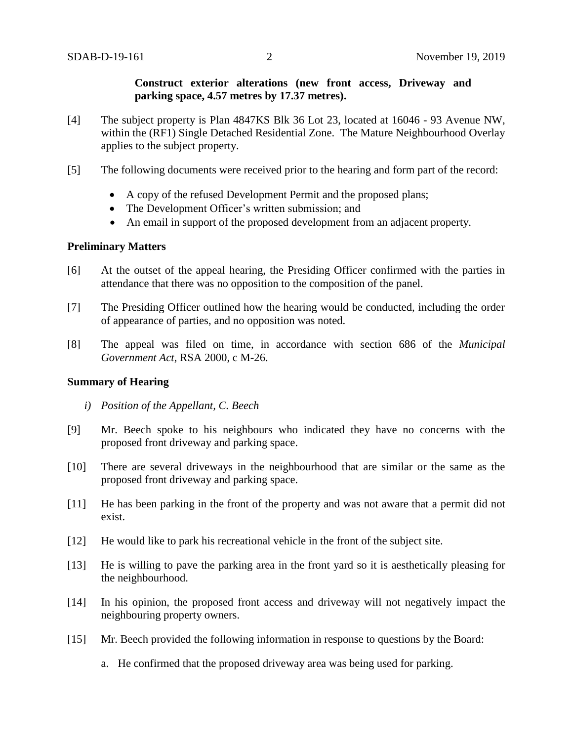### **Construct exterior alterations (new front access, Driveway and parking space, 4.57 metres by 17.37 metres).**

- [4] The subject property is Plan 4847KS Blk 36 Lot 23, located at 16046 93 Avenue NW, within the (RF1) Single Detached Residential Zone. The Mature Neighbourhood Overlay applies to the subject property.
- [5] The following documents were received prior to the hearing and form part of the record:
	- A copy of the refused Development Permit and the proposed plans;
	- The Development Officer's written submission; and
	- An email in support of the proposed development from an adjacent property.

## **Preliminary Matters**

- [6] At the outset of the appeal hearing, the Presiding Officer confirmed with the parties in attendance that there was no opposition to the composition of the panel.
- [7] The Presiding Officer outlined how the hearing would be conducted, including the order of appearance of parties, and no opposition was noted.
- [8] The appeal was filed on time, in accordance with section 686 of the *Municipal Government Act*, RSA 2000, c M-26.

### **Summary of Hearing**

- *i) Position of the Appellant, C. Beech*
- [9] Mr. Beech spoke to his neighbours who indicated they have no concerns with the proposed front driveway and parking space.
- [10] There are several driveways in the neighbourhood that are similar or the same as the proposed front driveway and parking space.
- [11] He has been parking in the front of the property and was not aware that a permit did not exist.
- [12] He would like to park his recreational vehicle in the front of the subject site.
- [13] He is willing to pave the parking area in the front yard so it is aesthetically pleasing for the neighbourhood.
- [14] In his opinion, the proposed front access and driveway will not negatively impact the neighbouring property owners.
- [15] Mr. Beech provided the following information in response to questions by the Board:
	- a. He confirmed that the proposed driveway area was being used for parking.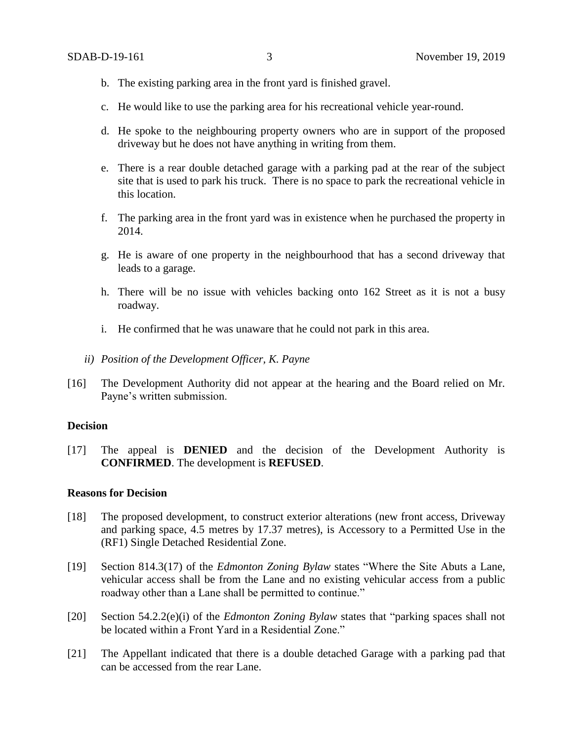- b. The existing parking area in the front yard is finished gravel.
- c. He would like to use the parking area for his recreational vehicle year-round.
- d. He spoke to the neighbouring property owners who are in support of the proposed driveway but he does not have anything in writing from them.
- e. There is a rear double detached garage with a parking pad at the rear of the subject site that is used to park his truck. There is no space to park the recreational vehicle in this location.
- f. The parking area in the front yard was in existence when he purchased the property in 2014.
- g. He is aware of one property in the neighbourhood that has a second driveway that leads to a garage.
- h. There will be no issue with vehicles backing onto 162 Street as it is not a busy roadway.
- i. He confirmed that he was unaware that he could not park in this area.
- *ii) Position of the Development Officer, K. Payne*
- [16] The Development Authority did not appear at the hearing and the Board relied on Mr. Payne's written submission.

#### **Decision**

[17] The appeal is **DENIED** and the decision of the Development Authority is **CONFIRMED**. The development is **REFUSED**.

#### **Reasons for Decision**

- [18] The proposed development, to construct exterior alterations (new front access, Driveway and parking space, 4.5 metres by 17.37 metres), is Accessory to a Permitted Use in the (RF1) Single Detached Residential Zone.
- [19] Section 814.3(17) of the *Edmonton Zoning Bylaw* states "Where the Site Abuts a Lane, vehicular access shall be from the Lane and no existing vehicular access from a public roadway other than a Lane shall be permitted to continue."
- [20] Section 54.2.2(e)(i) of the *Edmonton Zoning Bylaw* states that "parking spaces shall not be located within a Front Yard in a Residential Zone."
- [21] The Appellant indicated that there is a double detached Garage with a parking pad that can be accessed from the rear Lane.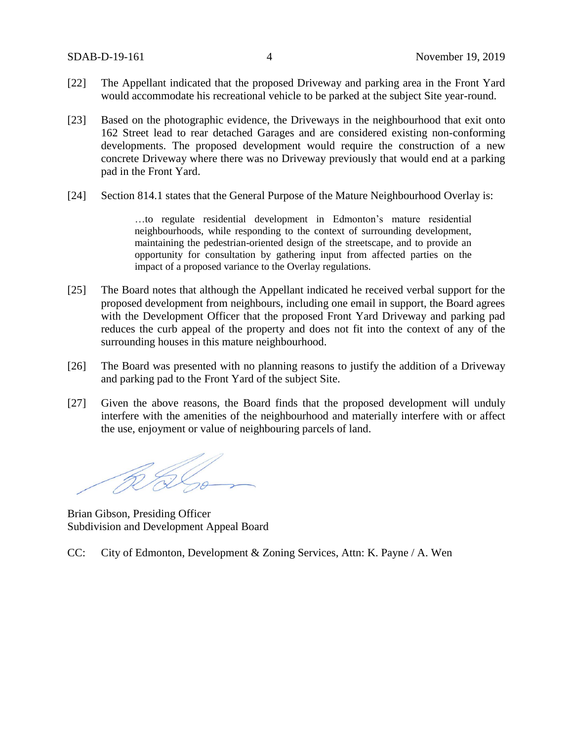- [22] The Appellant indicated that the proposed Driveway and parking area in the Front Yard would accommodate his recreational vehicle to be parked at the subject Site year-round.
- [23] Based on the photographic evidence, the Driveways in the neighbourhood that exit onto 162 Street lead to rear detached Garages and are considered existing non-conforming developments. The proposed development would require the construction of a new concrete Driveway where there was no Driveway previously that would end at a parking pad in the Front Yard.
- [24] Section 814.1 states that the General Purpose of the Mature Neighbourhood Overlay is:

…to regulate residential development in Edmonton's mature residential neighbourhoods, while responding to the context of surrounding development, maintaining the pedestrian-oriented design of the streetscape, and to provide an opportunity for consultation by gathering input from affected parties on the impact of a proposed variance to the Overlay regulations.

- [25] The Board notes that although the Appellant indicated he received verbal support for the proposed development from neighbours, including one email in support, the Board agrees with the Development Officer that the proposed Front Yard Driveway and parking pad reduces the curb appeal of the property and does not fit into the context of any of the surrounding houses in this mature neighbourhood.
- [26] The Board was presented with no planning reasons to justify the addition of a Driveway and parking pad to the Front Yard of the subject Site.
- [27] Given the above reasons, the Board finds that the proposed development will unduly interfere with the amenities of the neighbourhood and materially interfere with or affect the use, enjoyment or value of neighbouring parcels of land.

RS 6

Brian Gibson, Presiding Officer Subdivision and Development Appeal Board

CC: City of Edmonton, Development & Zoning Services, Attn: K. Payne / A. Wen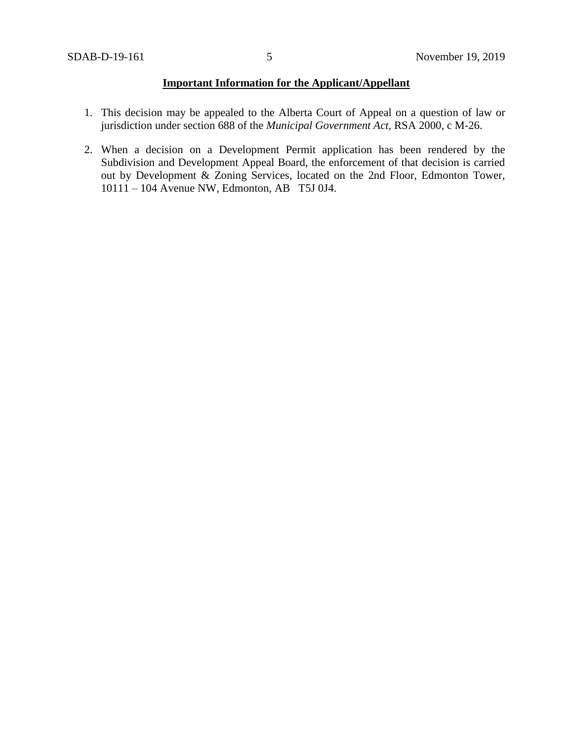# **Important Information for the Applicant/Appellant**

- 1. This decision may be appealed to the Alberta Court of Appeal on a question of law or jurisdiction under section 688 of the *Municipal Government Act*, RSA 2000, c M-26.
- 2. When a decision on a Development Permit application has been rendered by the Subdivision and Development Appeal Board, the enforcement of that decision is carried out by Development & Zoning Services, located on the 2nd Floor, Edmonton Tower, 10111 – 104 Avenue NW, Edmonton, AB T5J 0J4.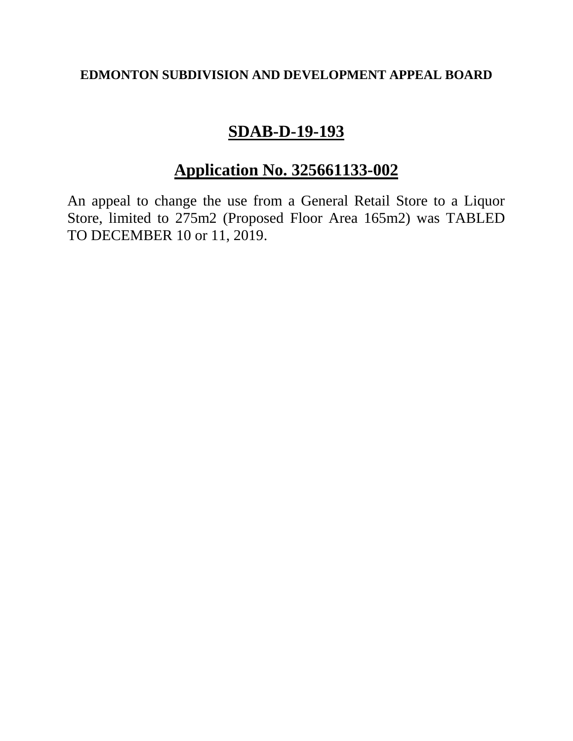# **EDMONTON SUBDIVISION AND DEVELOPMENT APPEAL BOARD**

# **SDAB-D-19-193**

# **Application No. 325661133-002**

An appeal to change the use from a General Retail Store to a Liquor Store, limited to 275m2 (Proposed Floor Area 165m2) was TABLED TO DECEMBER 10 or 11, 2019.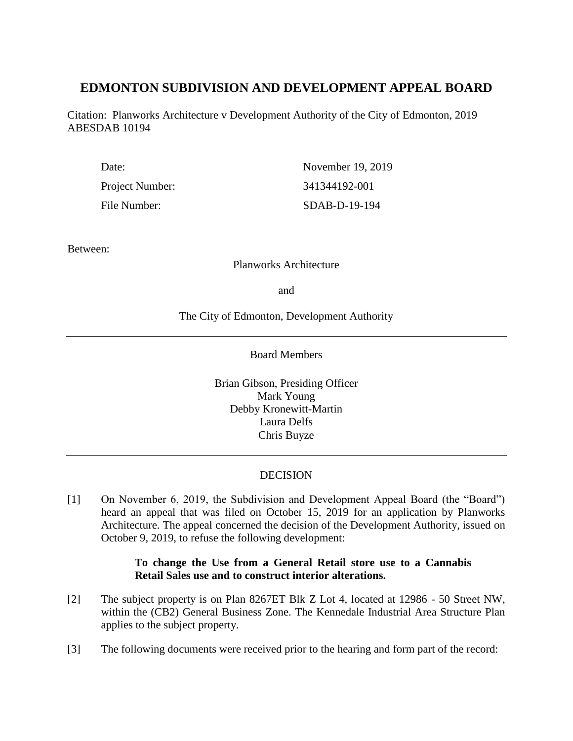# **EDMONTON SUBDIVISION AND DEVELOPMENT APPEAL BOARD**

Citation: Planworks Architecture v Development Authority of the City of Edmonton, 2019 ABESDAB 10194

| Date:                  | November 19, 2019 |
|------------------------|-------------------|
| <b>Project Number:</b> | 341344192-001     |
| File Number:           | $SDAB-D-19-194$   |

Between:

### Planworks Architecture

and

The City of Edmonton, Development Authority

Board Members

Brian Gibson, Presiding Officer Mark Young Debby Kronewitt-Martin Laura Delfs Chris Buyze

## **DECISION**

[1] On November 6, 2019, the Subdivision and Development Appeal Board (the "Board") heard an appeal that was filed on October 15, 2019 for an application by Planworks Architecture. The appeal concerned the decision of the Development Authority, issued on October 9, 2019, to refuse the following development:

# **To change the Use from a General Retail store use to a Cannabis Retail Sales use and to construct interior alterations.**

- [2] The subject property is on Plan 8267ET Blk Z Lot 4, located at 12986 50 Street NW, within the (CB2) General Business Zone. The Kennedale Industrial Area Structure Plan applies to the subject property.
- [3] The following documents were received prior to the hearing and form part of the record: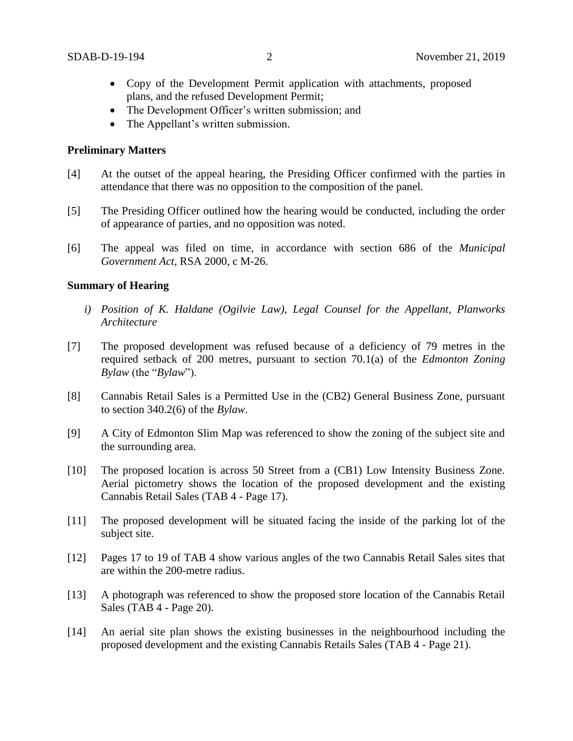- Copy of the Development Permit application with attachments, proposed plans, and the refused Development Permit;
- The Development Officer's written submission; and
- The Appellant's written submission.

### **Preliminary Matters**

- [4] At the outset of the appeal hearing, the Presiding Officer confirmed with the parties in attendance that there was no opposition to the composition of the panel.
- [5] The Presiding Officer outlined how the hearing would be conducted, including the order of appearance of parties, and no opposition was noted.
- [6] The appeal was filed on time, in accordance with section 686 of the *Municipal Government Act*, RSA 2000, c M-26.

### **Summary of Hearing**

- *i) Position of K. Haldane (Ogilvie Law), Legal Counsel for the Appellant, Planworks Architecture*
- [7] The proposed development was refused because of a deficiency of 79 metres in the required setback of 200 metres, pursuant to section 70.1(a) of the *Edmonton Zoning Bylaw* (the "*Bylaw*").
- [8] Cannabis Retail Sales is a Permitted Use in the (CB2) General Business Zone, pursuant to section 340.2(6) of the *Bylaw*.
- [9] A City of Edmonton Slim Map was referenced to show the zoning of the subject site and the surrounding area.
- [10] The proposed location is across 50 Street from a (CB1) Low Intensity Business Zone. Aerial pictometry shows the location of the proposed development and the existing Cannabis Retail Sales (TAB 4 - Page 17).
- [11] The proposed development will be situated facing the inside of the parking lot of the subject site.
- [12] Pages 17 to 19 of TAB 4 show various angles of the two Cannabis Retail Sales sites that are within the 200-metre radius.
- [13] A photograph was referenced to show the proposed store location of the Cannabis Retail Sales (TAB 4 - Page 20).
- [14] An aerial site plan shows the existing businesses in the neighbourhood including the proposed development and the existing Cannabis Retails Sales (TAB 4 - Page 21).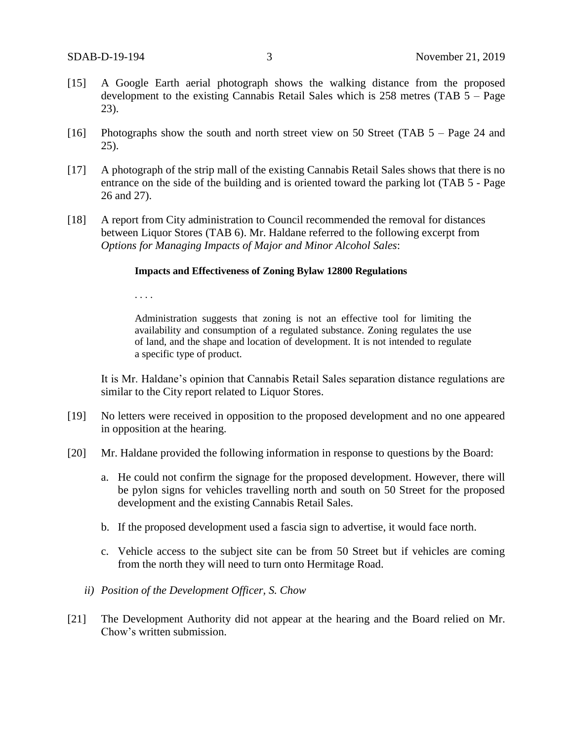- [15] A Google Earth aerial photograph shows the walking distance from the proposed development to the existing Cannabis Retail Sales which is 258 metres (TAB 5 – Page 23).
- [16] Photographs show the south and north street view on 50 Street (TAB 5 Page 24 and 25).
- [17] A photograph of the strip mall of the existing Cannabis Retail Sales shows that there is no entrance on the side of the building and is oriented toward the parking lot (TAB 5 - Page 26 and 27).
- [18] A report from City administration to Council recommended the removal for distances between Liquor Stores (TAB 6). Mr. Haldane referred to the following excerpt from *Options for Managing Impacts of Major and Minor Alcohol Sales*:

#### **Impacts and Effectiveness of Zoning Bylaw 12800 Regulations**

. . . .

Administration suggests that zoning is not an effective tool for limiting the availability and consumption of a regulated substance. Zoning regulates the use of land, and the shape and location of development. It is not intended to regulate a specific type of product.

It is Mr. Haldane's opinion that Cannabis Retail Sales separation distance regulations are similar to the City report related to Liquor Stores.

- [19] No letters were received in opposition to the proposed development and no one appeared in opposition at the hearing.
- [20] Mr. Haldane provided the following information in response to questions by the Board:
	- a. He could not confirm the signage for the proposed development. However, there will be pylon signs for vehicles travelling north and south on 50 Street for the proposed development and the existing Cannabis Retail Sales.
	- b. If the proposed development used a fascia sign to advertise, it would face north.
	- c. Vehicle access to the subject site can be from 50 Street but if vehicles are coming from the north they will need to turn onto Hermitage Road.
	- *ii) Position of the Development Officer, S. Chow*
- [21] The Development Authority did not appear at the hearing and the Board relied on Mr. Chow's written submission.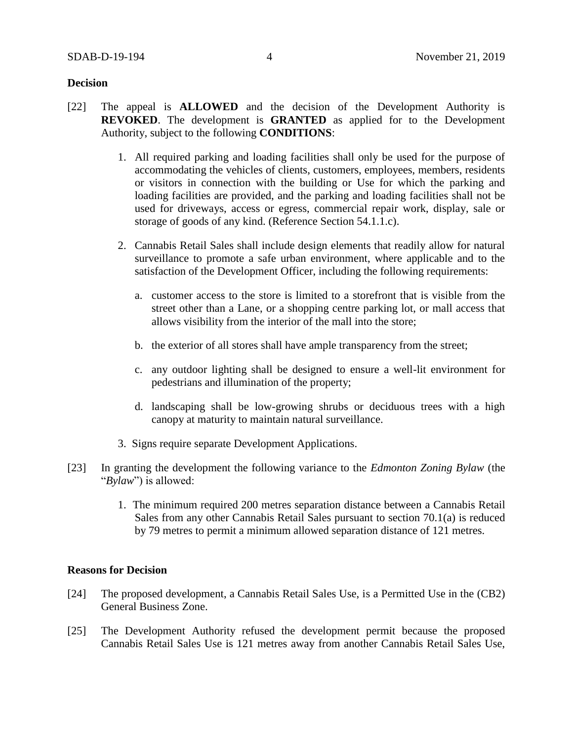### **Decision**

- [22] The appeal is **ALLOWED** and the decision of the Development Authority is **REVOKED**. The development is **GRANTED** as applied for to the Development Authority, subject to the following **CONDITIONS**:
	- 1. All required parking and loading facilities shall only be used for the purpose of accommodating the vehicles of clients, customers, employees, members, residents or visitors in connection with the building or Use for which the parking and loading facilities are provided, and the parking and loading facilities shall not be used for driveways, access or egress, commercial repair work, display, sale or storage of goods of any kind. (Reference Section 54.1.1.c).
	- 2. Cannabis Retail Sales shall include design elements that readily allow for natural surveillance to promote a safe urban environment, where applicable and to the satisfaction of the Development Officer, including the following requirements:
		- a. customer access to the store is limited to a storefront that is visible from the street other than a Lane, or a shopping centre parking lot, or mall access that allows visibility from the interior of the mall into the store;
		- b. the exterior of all stores shall have ample transparency from the street;
		- c. any outdoor lighting shall be designed to ensure a well-lit environment for pedestrians and illumination of the property;
		- d. landscaping shall be low-growing shrubs or deciduous trees with a high canopy at maturity to maintain natural surveillance.
	- 3. Signs require separate Development Applications.
- [23] In granting the development the following variance to the *Edmonton Zoning Bylaw* (the "*Bylaw*") is allowed:
	- 1. The minimum required 200 metres separation distance between a Cannabis Retail Sales from any other Cannabis Retail Sales pursuant to section 70.1(a) is reduced by 79 metres to permit a minimum allowed separation distance of 121 metres.

### **Reasons for Decision**

- [24] The proposed development, a Cannabis Retail Sales Use, is a Permitted Use in the (CB2) General Business Zone.
- [25] The Development Authority refused the development permit because the proposed Cannabis Retail Sales Use is 121 metres away from another Cannabis Retail Sales Use,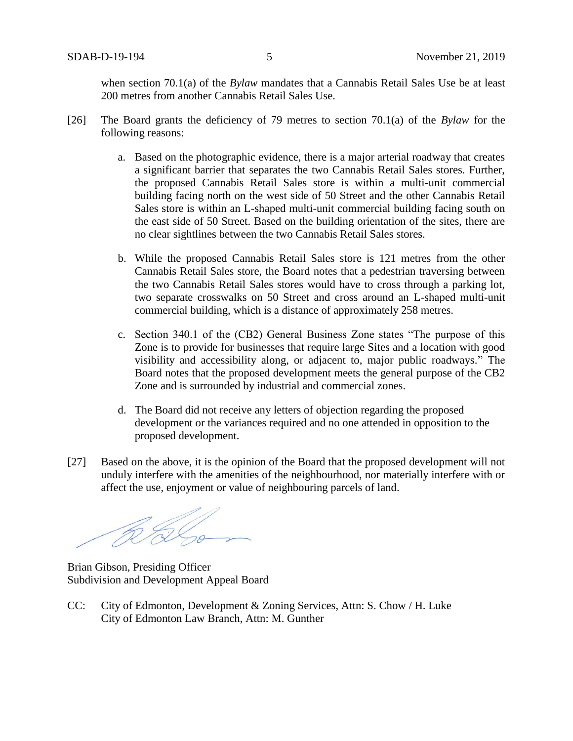when section 70.1(a) of the *Bylaw* mandates that a Cannabis Retail Sales Use be at least 200 metres from another Cannabis Retail Sales Use.

- [26] The Board grants the deficiency of 79 metres to section 70.1(a) of the *Bylaw* for the following reasons:
	- a. Based on the photographic evidence, there is a major arterial roadway that creates a significant barrier that separates the two Cannabis Retail Sales stores. Further, the proposed Cannabis Retail Sales store is within a multi-unit commercial building facing north on the west side of 50 Street and the other Cannabis Retail Sales store is within an L-shaped multi-unit commercial building facing south on the east side of 50 Street. Based on the building orientation of the sites, there are no clear sightlines between the two Cannabis Retail Sales stores.
	- b. While the proposed Cannabis Retail Sales store is 121 metres from the other Cannabis Retail Sales store, the Board notes that a pedestrian traversing between the two Cannabis Retail Sales stores would have to cross through a parking lot, two separate crosswalks on 50 Street and cross around an L-shaped multi-unit commercial building, which is a distance of approximately 258 metres.
	- c. Section 340.1 of the (CB2) General Business Zone states "The purpose of this Zone is to provide for businesses that require large Sites and a location with good visibility and accessibility along, or adjacent to, major public roadways." The Board notes that the proposed development meets the general purpose of the CB2 Zone and is surrounded by industrial and commercial zones.
	- d. The Board did not receive any letters of objection regarding the proposed development or the variances required and no one attended in opposition to the proposed development.
- [27] Based on the above, it is the opinion of the Board that the proposed development will not unduly interfere with the amenities of the neighbourhood, nor materially interfere with or affect the use, enjoyment or value of neighbouring parcels of land.

Brian Gibson, Presiding Officer Subdivision and Development Appeal Board

CC: City of Edmonton, Development & Zoning Services, Attn: S. Chow / H. Luke City of Edmonton Law Branch, Attn: M. Gunther